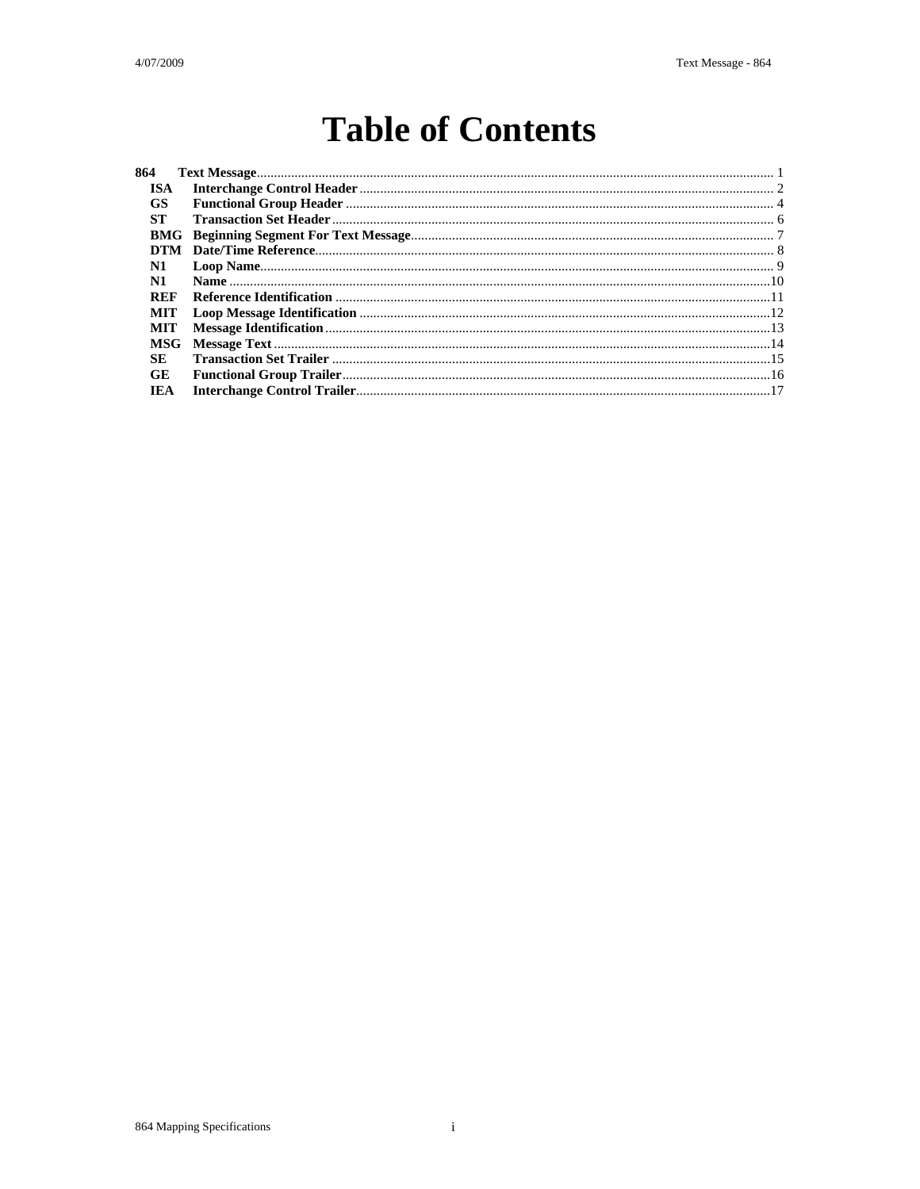## **Table of Contents**

| 864        |  |
|------------|--|
| ISA.       |  |
| <b>GS</b>  |  |
| -ST        |  |
|            |  |
|            |  |
| N1         |  |
| N1         |  |
| <b>REF</b> |  |
| MIT        |  |
| MIT        |  |
| <b>MSG</b> |  |
| <b>SE</b>  |  |
| <b>GE</b>  |  |
| <b>IEA</b> |  |
|            |  |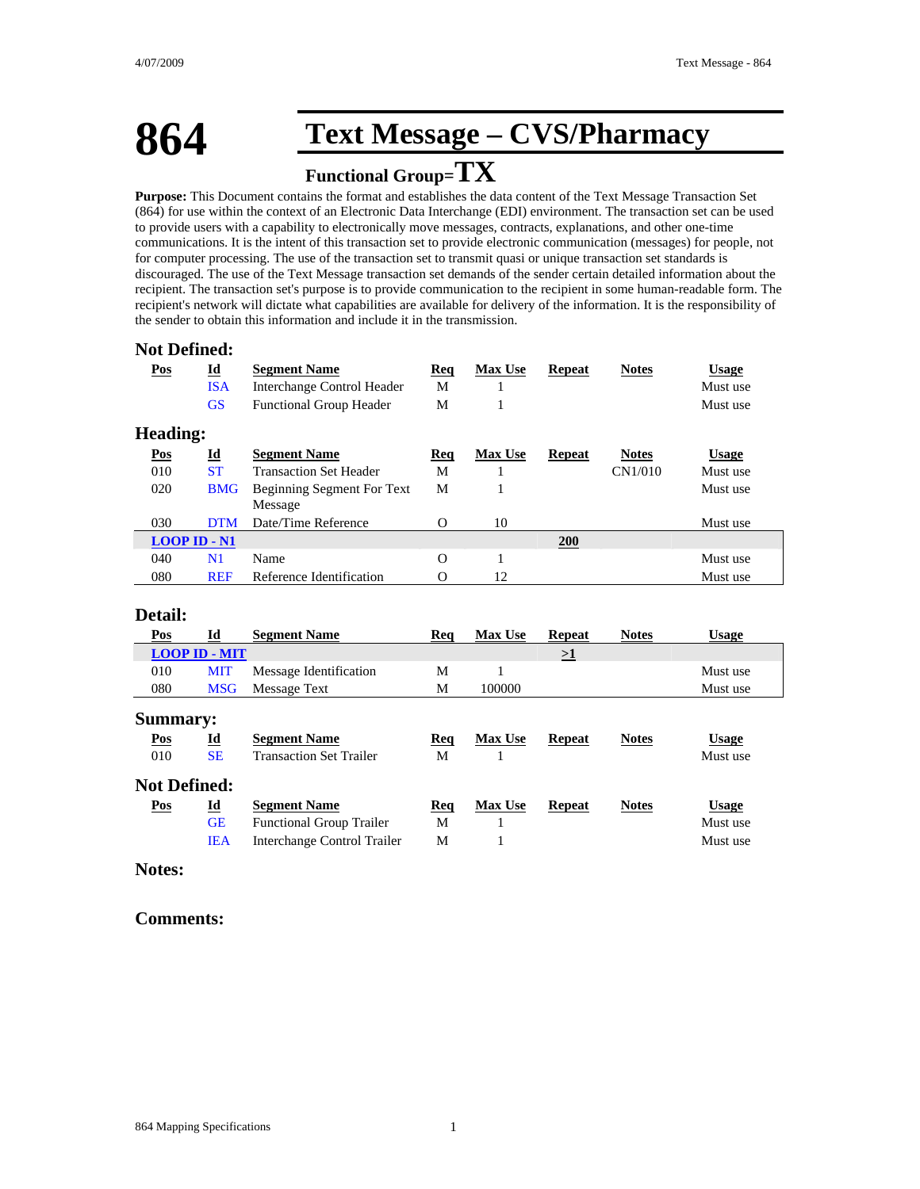### **864 Text Message – CVS/Pharmacy**

### **Functional Group=TX**

**Purpose:** This Document contains the format and establishes the data content of the Text Message Transaction Set (864) for use within the context of an Electronic Data Interchange (EDI) environment. The transaction set can be used to provide users with a capability to electronically move messages, contracts, explanations, and other one-time communications. It is the intent of this transaction set to provide electronic communication (messages) for people, not for computer processing. The use of the transaction set to transmit quasi or unique transaction set standards is discouraged. The use of the Text Message transaction set demands of the sender certain detailed information about the recipient. The transaction set's purpose is to provide communication to the recipient in some human-readable form. The recipient's network will dictate what capabilities are available for delivery of the information. It is the responsibility of the sender to obtain this information and include it in the transmission.

#### **Not Defined:**

| Pos             | $\underline{\mathbf{Id}}$<br><b>ISA</b><br><b>GS</b> | <b>Segment Name</b><br><b>Interchange Control Header</b><br><b>Functional Group Header</b> | <u>Req</u><br>M<br>M | <b>Max Use</b><br>1 | <b>Repeat</b> | <b>Notes</b> | <b>Usage</b><br>Must use<br>Must use |  |
|-----------------|------------------------------------------------------|--------------------------------------------------------------------------------------------|----------------------|---------------------|---------------|--------------|--------------------------------------|--|
| <b>Heading:</b> |                                                      |                                                                                            |                      |                     |               |              |                                      |  |
| Pos             | $\underline{\mathbf{Id}}$                            | <b>Segment Name</b>                                                                        | Req                  | <b>Max Use</b>      | <b>Repeat</b> | <b>Notes</b> | <b>Usage</b>                         |  |
| 010             | <b>ST</b>                                            | <b>Transaction Set Header</b>                                                              | M                    |                     |               | CN1/010      | Must use                             |  |
| 020             | <b>BMG</b>                                           | Beginning Segment For Text<br>Message                                                      | M                    | 1                   |               |              | Must use                             |  |
| 030             | <b>DTM</b>                                           | Date/Time Reference                                                                        | $\Omega$             | 10                  |               |              | Must use                             |  |
|                 | $LOOP$ ID $\text{-}$ N1                              |                                                                                            |                      |                     | <b>200</b>    |              |                                      |  |
| 040             | N1                                                   | Name                                                                                       | $\Omega$             | 1                   |               |              | Must use                             |  |
| 080             | <b>REF</b>                                           | Reference Identification                                                                   | $\Omega$             | 12                  |               |              | Must use                             |  |

#### **Detail:**

| Pos                 | Id                        | <b>Segment Name</b>             | Req | <b>Max Use</b> | <b>Repeat</b> | <b>Notes</b> | <b>Usage</b> |
|---------------------|---------------------------|---------------------------------|-----|----------------|---------------|--------------|--------------|
|                     | <b>LOOP ID - MIT</b>      |                                 |     |                | ≥1            |              |              |
| 010                 | <b>MIT</b>                | Message Identification          | М   |                |               |              | Must use     |
| 080                 | <b>MSG</b>                | Message Text                    | М   | 100000         |               |              | Must use     |
| <b>Summary:</b>     |                           |                                 |     |                |               |              |              |
| Pos                 | $\underline{\mathbf{Id}}$ | <b>Segment Name</b>             | Req | <b>Max Use</b> | <b>Repeat</b> | <b>Notes</b> | <b>Usage</b> |
| 010                 | <b>SE</b>                 | <b>Transaction Set Trailer</b>  | M   |                |               |              | Must use     |
| <b>Not Defined:</b> |                           |                                 |     |                |               |              |              |
| Pos                 | $\underline{\mathbf{Id}}$ | <b>Segment Name</b>             | Req | <b>Max Use</b> | <b>Repeat</b> | <b>Notes</b> | <b>Usage</b> |
|                     | <b>GE</b>                 | <b>Functional Group Trailer</b> | M   |                |               |              | Must use     |
|                     | <b>IEA</b>                | Interchange Control Trailer     | М   |                |               |              | Must use     |

#### **Notes:**

#### **Comments:**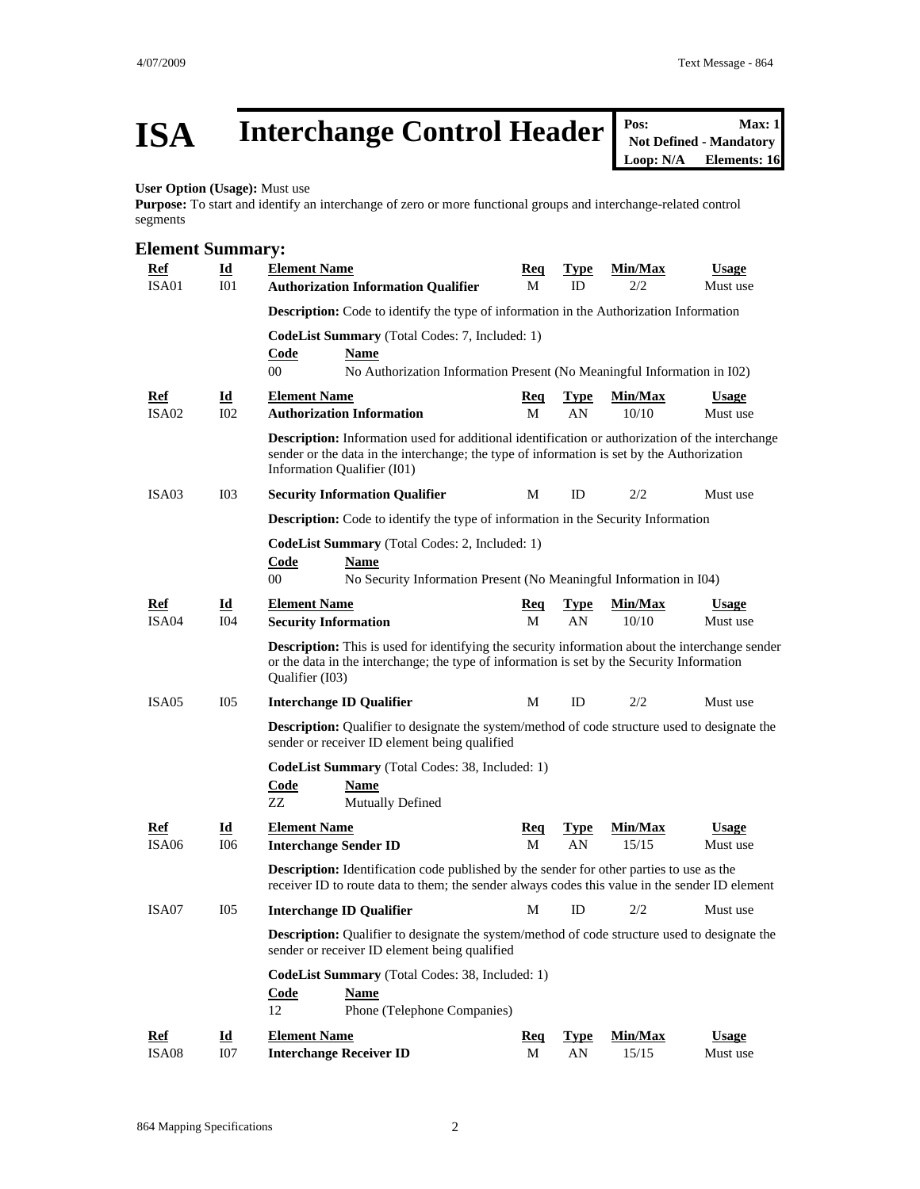## **ISA** Interchange Control Header <br>
Max: 1 Not Defined - Mandatory<br>
Loop: N/A Elements: 16

**Not Defined - Mandatory Elements: 16** 

#### **User Option (Usage):** Must use

**Purpose:** To start and identify an interchange of zero or more functional groups and interchange-related control segments

#### **Element Summary: Ref Id Element Name Req Type Min/Max Usage** ISA01 I01 **Authorization Information Qualifier** M ID 2/2 Must use **Description:** Code to identify the type of information in the Authorization Information **CodeList Summary** (Total Codes: 7, Included: 1) **Code Name** 00 No Authorization Information Present (No Meaningful Information in I02) **Ref Id Element Name Req Type Min/Max Usage ISA02 IO2 Authorization Information M M AN IO2 Must** use IO2 Authorization Information<br>
M AN 10/10 Must use **Description:** Information used for additional identification or authorization of the interchange sender or the data in the interchange; the type of information is set by the Authorization Information Qualifier (I01) ISA03 I03 **Security Information Qualifier** M ID 2/2 Must use **Description:** Code to identify the type of information in the Security Information **CodeList Summary** (Total Codes: 2, Included: 1) **Code Name** 00 No Security Information Present (No Meaningful Information in I04) **Ref Id Element Name Req Type Min/Max Usage** ISA04 I04 **Security Information** M AN 10/10 Must use **Description:** This is used for identifying the security information about the interchange sender or the data in the interchange; the type of information is set by the Security Information Qualifier (I03) ISA05 I05 **Interchange ID Qualifier** M ID 2/2 Must use **Description:** Qualifier to designate the system/method of code structure used to designate the sender or receiver ID element being qualified **CodeList Summary** (Total Codes: 38, Included: 1) **Code Name** ZZ Mutually Defined **Ref Id Element Name Req Type Min/Max Usage** ISA06 I06 **Interchange Sender ID** M AN 15/15 Must use **Description:** Identification code published by the sender for other parties to use as the receiver ID to route data to them; the sender always codes this value in the sender ID element ISA07 I05 **Interchange ID Qualifier** M ID 2/2 Must use **Description:** Qualifier to designate the system/method of code structure used to designate the sender or receiver ID element being qualified **CodeList Summary** (Total Codes: 38, Included: 1) **Code Name** 12 Phone (Telephone Companies) **Ref Id Element Name Req Type Min/Max Usage** ISA08 I07 **Interchange Receiver ID** M AN 15/15 Must use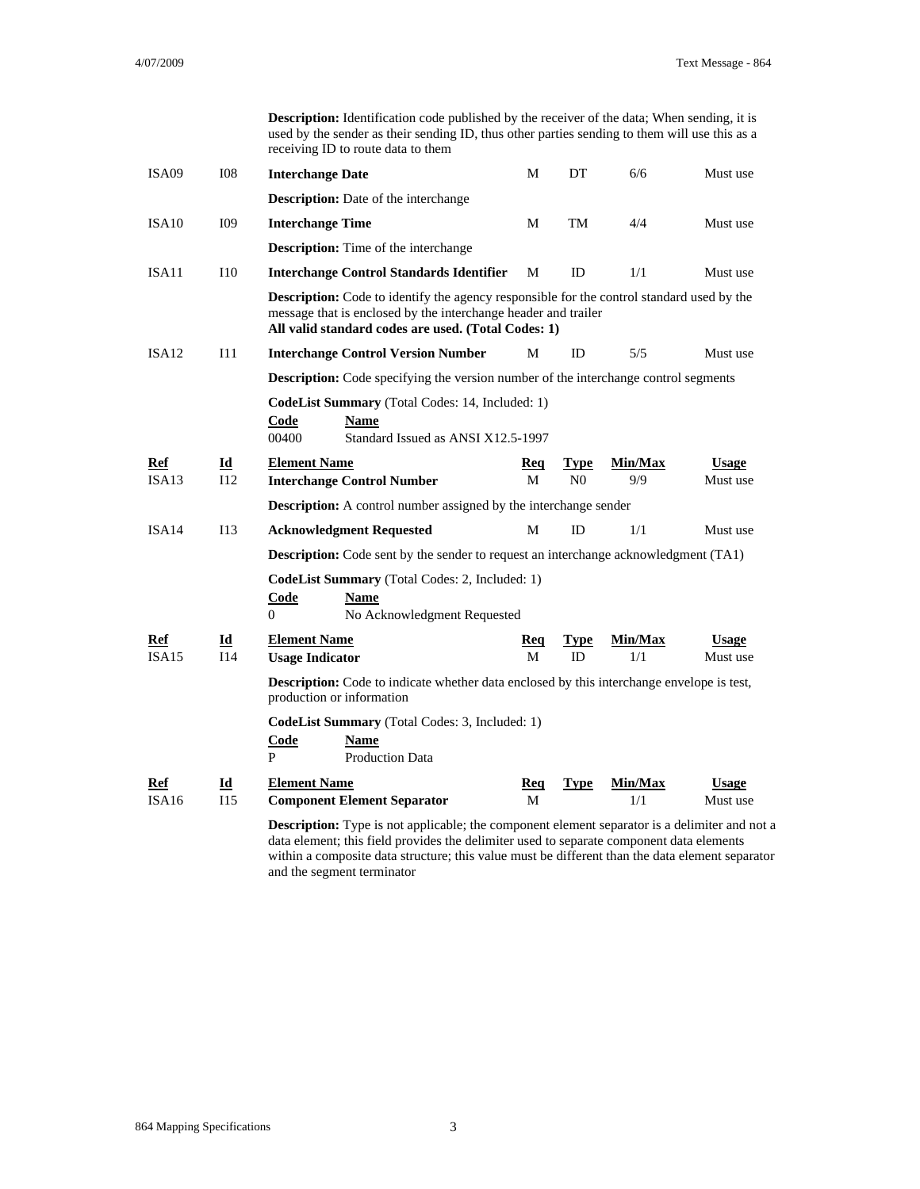**Description:** Identification code published by the receiver of the data; When sending, it is used by the sender as their sending ID, thus other parties sending to them will use this as a receiving ID to route data to them

| ISA09               | <b>I08</b>                | <b>Interchange Date</b>                                                                                                                                                                                                   | М        | DΤ                            | 6/6            | Must use                 |
|---------------------|---------------------------|---------------------------------------------------------------------------------------------------------------------------------------------------------------------------------------------------------------------------|----------|-------------------------------|----------------|--------------------------|
|                     |                           | <b>Description:</b> Date of the interchange                                                                                                                                                                               |          |                               |                |                          |
| ISA10               | I09                       | <b>Interchange Time</b>                                                                                                                                                                                                   | М        | TM                            | 4/4            | Must use                 |
|                     |                           | <b>Description:</b> Time of the interchange                                                                                                                                                                               |          |                               |                |                          |
| ISA11               | I10                       | <b>Interchange Control Standards Identifier</b>                                                                                                                                                                           | M        | <b>ID</b>                     | 1/1            | Must use                 |
|                     |                           | <b>Description:</b> Code to identify the agency responsible for the control standard used by the<br>message that is enclosed by the interchange header and trailer<br>All valid standard codes are used. (Total Codes: 1) |          |                               |                |                          |
| ISA12               | I11                       | <b>Interchange Control Version Number</b>                                                                                                                                                                                 | М        | ID                            | 5/5            | Must use                 |
|                     |                           | <b>Description:</b> Code specifying the version number of the interchange control segments                                                                                                                                |          |                               |                |                          |
|                     |                           | CodeList Summary (Total Codes: 14, Included: 1)<br>Code<br>Name<br>00400<br>Standard Issued as ANSI X12.5-1997                                                                                                            |          |                               |                |                          |
| <b>Ref</b><br>ISA13 | Id<br>I12                 | <b>Element Name</b><br><b>Interchange Control Number</b>                                                                                                                                                                  | Req<br>M | <b>Type</b><br>N <sub>0</sub> | Min/Max<br>9/9 | <b>Usage</b><br>Must use |
|                     |                           | <b>Description:</b> A control number assigned by the interchange sender                                                                                                                                                   |          |                               |                |                          |
| ISA14               | I13                       | <b>Acknowledgment Requested</b>                                                                                                                                                                                           | M        | ID                            | 1/1            | Must use                 |
|                     |                           | <b>Description:</b> Code sent by the sender to request an interchange acknowledgment (TA1)                                                                                                                                |          |                               |                |                          |
|                     |                           | <b>CodeList Summary</b> (Total Codes: 2, Included: 1)<br>Code<br>Name<br>No Acknowledgment Requested<br>0                                                                                                                 |          |                               |                |                          |
| <b>Ref</b>          | Id                        | <b>Element Name</b>                                                                                                                                                                                                       | Req      | Type                          | Min/Max        | <b>Usage</b>             |
| ISA15               | <b>I14</b>                | <b>Usage Indicator</b>                                                                                                                                                                                                    | М        | ID                            | 1/1            | Must use                 |
|                     |                           | <b>Description:</b> Code to indicate whether data enclosed by this interchange envelope is test,<br>production or information                                                                                             |          |                               |                |                          |
|                     |                           | CodeList Summary (Total Codes: 3, Included: 1)<br>Code<br>Name<br>P<br><b>Production Data</b>                                                                                                                             |          |                               |                |                          |
| Ref                 | $\underline{\mathbf{Id}}$ | <b>Element Name</b>                                                                                                                                                                                                       | Req      | <b>Type</b>                   | Min/Max        | <b>Usage</b>             |
| ISA16               | I15                       | <b>Component Element Separator</b>                                                                                                                                                                                        | M        |                               | 1/1            | Must use                 |
|                     |                           | <b>Description:</b> Type is not applicable; the component element separator is a delimiter and not a<br>data element; this field provides the delimiter used to separate component data elements                          |          |                               |                |                          |

within a composite data structure; this value must be different than the data element separator and the segment terminator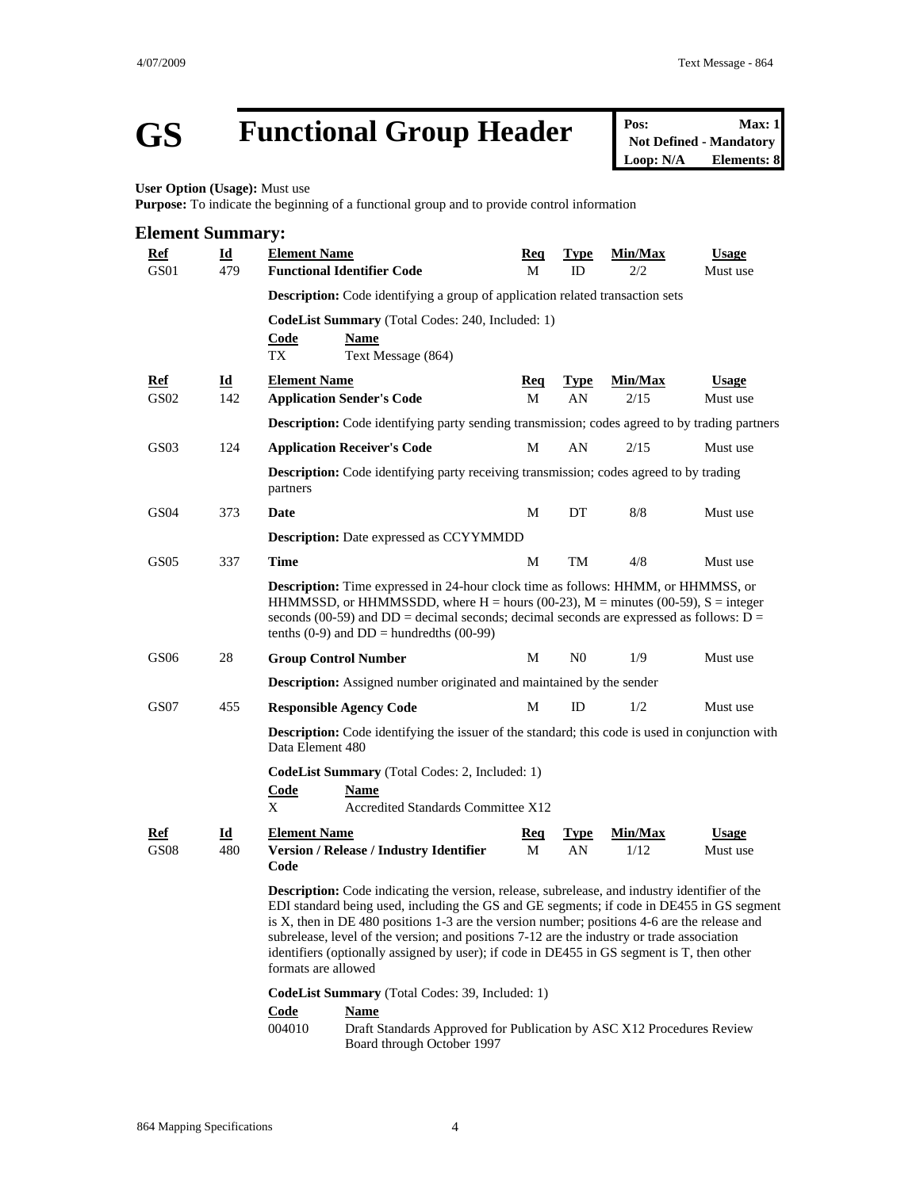# **GS Functional Group Header Pos:** Max: 1<br>
Not Defined - Mandatory<br>
Loop: N/A Elements: 8

**Not Defined - Mandatory Elements: 8** 

**User Option (Usage):** Must use

**Purpose:** To indicate the beginning of a functional group and to provide control information

| <b>Element Summary:</b> |                                |                                                                                                                                                                                                                                                                                                                                                                                                                                                                                                                      |                                                                                                      |                   |                 |                          |  |  |  |
|-------------------------|--------------------------------|----------------------------------------------------------------------------------------------------------------------------------------------------------------------------------------------------------------------------------------------------------------------------------------------------------------------------------------------------------------------------------------------------------------------------------------------------------------------------------------------------------------------|------------------------------------------------------------------------------------------------------|-------------------|-----------------|--------------------------|--|--|--|
| <u>Ref</u><br>GS01      | <b>Id</b><br>479               | <b>Element Name</b><br><b>Functional Identifier Code</b>                                                                                                                                                                                                                                                                                                                                                                                                                                                             | <u> Req</u><br>М                                                                                     | <b>Type</b><br>ID | Min/Max<br>2/2  | <b>Usage</b><br>Must use |  |  |  |
|                         |                                | <b>Description:</b> Code identifying a group of application related transaction sets                                                                                                                                                                                                                                                                                                                                                                                                                                 |                                                                                                      |                   |                 |                          |  |  |  |
|                         |                                | CodeList Summary (Total Codes: 240, Included: 1)<br><b>Code</b><br>Name<br>TX<br>Text Message (864)                                                                                                                                                                                                                                                                                                                                                                                                                  |                                                                                                      |                   |                 |                          |  |  |  |
| <b>Ref</b><br>GS02      | $\overline{\mathbf{I}}$<br>142 | <b>Element Name</b><br><b>Application Sender's Code</b>                                                                                                                                                                                                                                                                                                                                                                                                                                                              | <u>Req</u><br>М                                                                                      | <b>Type</b><br>AN | Min/Max<br>2/15 | <b>Usage</b><br>Must use |  |  |  |
|                         |                                |                                                                                                                                                                                                                                                                                                                                                                                                                                                                                                                      | <b>Description:</b> Code identifying party sending transmission; codes agreed to by trading partners |                   |                 |                          |  |  |  |
| GS03                    | 124                            | <b>Application Receiver's Code</b>                                                                                                                                                                                                                                                                                                                                                                                                                                                                                   | M                                                                                                    | AN                | 2/15            | Must use                 |  |  |  |
|                         |                                | <b>Description:</b> Code identifying party receiving transmission; codes agreed to by trading<br>partners                                                                                                                                                                                                                                                                                                                                                                                                            |                                                                                                      |                   |                 |                          |  |  |  |
| GS04                    | 373                            | Date                                                                                                                                                                                                                                                                                                                                                                                                                                                                                                                 | М                                                                                                    | DT                | 8/8             | Must use                 |  |  |  |
|                         |                                | <b>Description:</b> Date expressed as CCYYMMDD                                                                                                                                                                                                                                                                                                                                                                                                                                                                       |                                                                                                      |                   |                 |                          |  |  |  |
| GS <sub>05</sub>        | 337                            | <b>Time</b>                                                                                                                                                                                                                                                                                                                                                                                                                                                                                                          | M                                                                                                    | TM                | 4/8             | Must use                 |  |  |  |
|                         |                                | <b>Description:</b> Time expressed in 24-hour clock time as follows: HHMM, or HHMMSS, or<br>HHMMSSD, or HHMMSSDD, where $H =$ hours (00-23), $M =$ minutes (00-59), $S =$ integer<br>seconds (00-59) and $DD =$ decimal seconds; decimal seconds are expressed as follows: $D =$<br>tenths $(0-9)$ and $DD =$ hundredths $(00-99)$                                                                                                                                                                                   |                                                                                                      |                   |                 |                          |  |  |  |
| GS06                    | 28                             | <b>Group Control Number</b>                                                                                                                                                                                                                                                                                                                                                                                                                                                                                          | М                                                                                                    | N <sub>0</sub>    | 1/9             | Must use                 |  |  |  |
|                         |                                | <b>Description:</b> Assigned number originated and maintained by the sender                                                                                                                                                                                                                                                                                                                                                                                                                                          |                                                                                                      |                   |                 |                          |  |  |  |
| GS07                    | 455                            | <b>Responsible Agency Code</b>                                                                                                                                                                                                                                                                                                                                                                                                                                                                                       | М                                                                                                    | ID                | 1/2             | Must use                 |  |  |  |
|                         |                                | <b>Description:</b> Code identifying the issuer of the standard; this code is used in conjunction with<br>Data Element 480                                                                                                                                                                                                                                                                                                                                                                                           |                                                                                                      |                   |                 |                          |  |  |  |
|                         |                                | CodeList Summary (Total Codes: 2, Included: 1)<br><b>Code</b><br><b>Name</b><br>X                                                                                                                                                                                                                                                                                                                                                                                                                                    | Accredited Standards Committee X12                                                                   |                   |                 |                          |  |  |  |
| Ref<br><b>GS08</b>      | Id<br>480                      | <b>Element Name</b><br><b>Version / Release / Industry Identifier</b><br>Code                                                                                                                                                                                                                                                                                                                                                                                                                                        | <u>Req</u><br>М                                                                                      | <b>Type</b><br>AN | Min/Max<br>1/12 | <b>Usage</b><br>Must use |  |  |  |
|                         |                                | <b>Description:</b> Code indicating the version, release, subrelease, and industry identifier of the<br>EDI standard being used, including the GS and GE segments; if code in DE455 in GS segment<br>is X, then in DE 480 positions 1-3 are the version number; positions 4-6 are the release and<br>subrelease, level of the version; and positions 7-12 are the industry or trade association<br>identifiers (optionally assigned by user); if code in DE455 in GS segment is T, then other<br>formats are allowed |                                                                                                      |                   |                 |                          |  |  |  |
|                         |                                | CodeList Summary (Total Codes: 39, Included: 1)                                                                                                                                                                                                                                                                                                                                                                                                                                                                      |                                                                                                      |                   |                 |                          |  |  |  |
|                         |                                | <b>Code</b><br><b>Name</b>                                                                                                                                                                                                                                                                                                                                                                                                                                                                                           |                                                                                                      |                   |                 |                          |  |  |  |
|                         |                                | 004010<br>Board through October 1997                                                                                                                                                                                                                                                                                                                                                                                                                                                                                 | Draft Standards Approved for Publication by ASC X12 Procedures Review                                |                   |                 |                          |  |  |  |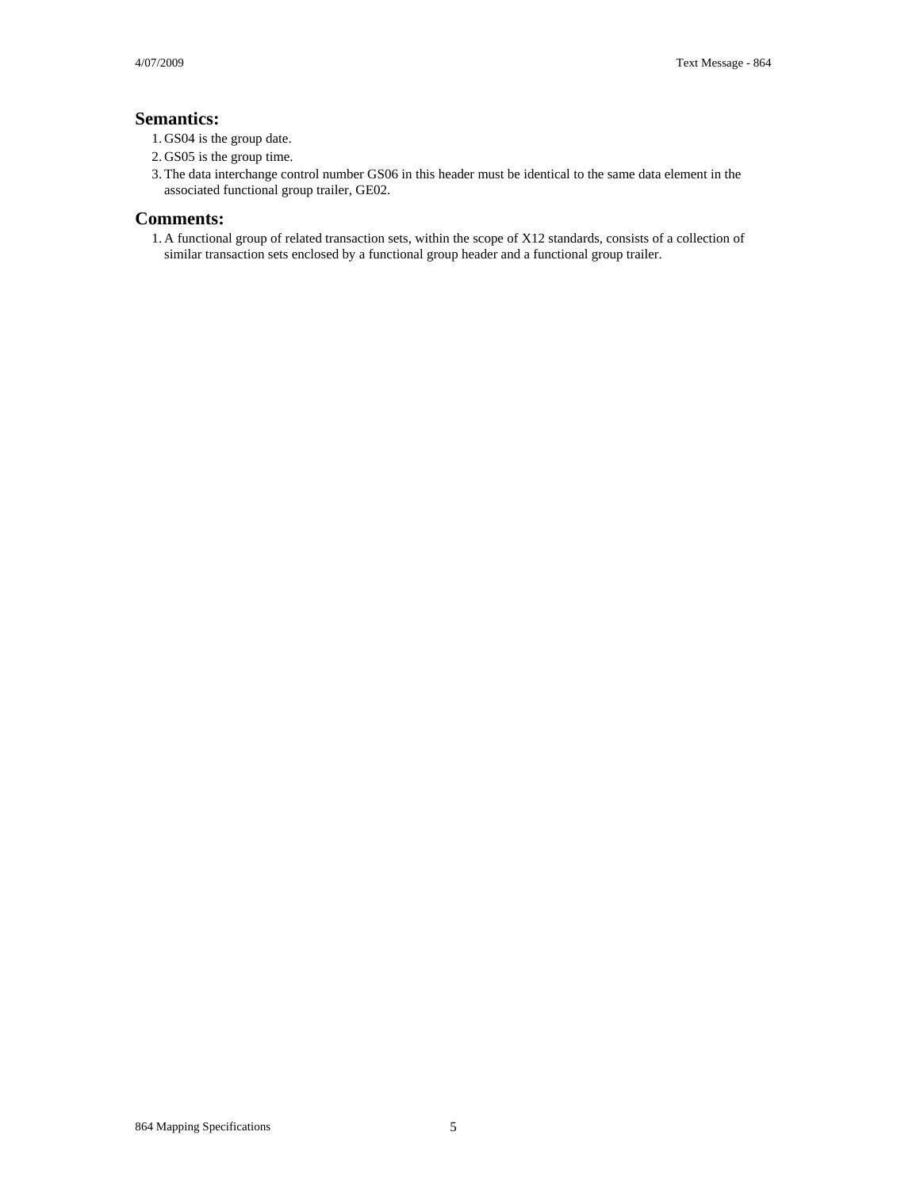#### **Semantics:**

- 1. GS04 is the group date.
- 2. GS05 is the group time.
- 3. The data interchange control number GS06 in this header must be identical to the same data element in the associated functional group trailer, GE02.

#### **Comments:**

1. A functional group of related transaction sets, within the scope of X12 standards, consists of a collection of similar transaction sets enclosed by a functional group header and a functional group trailer.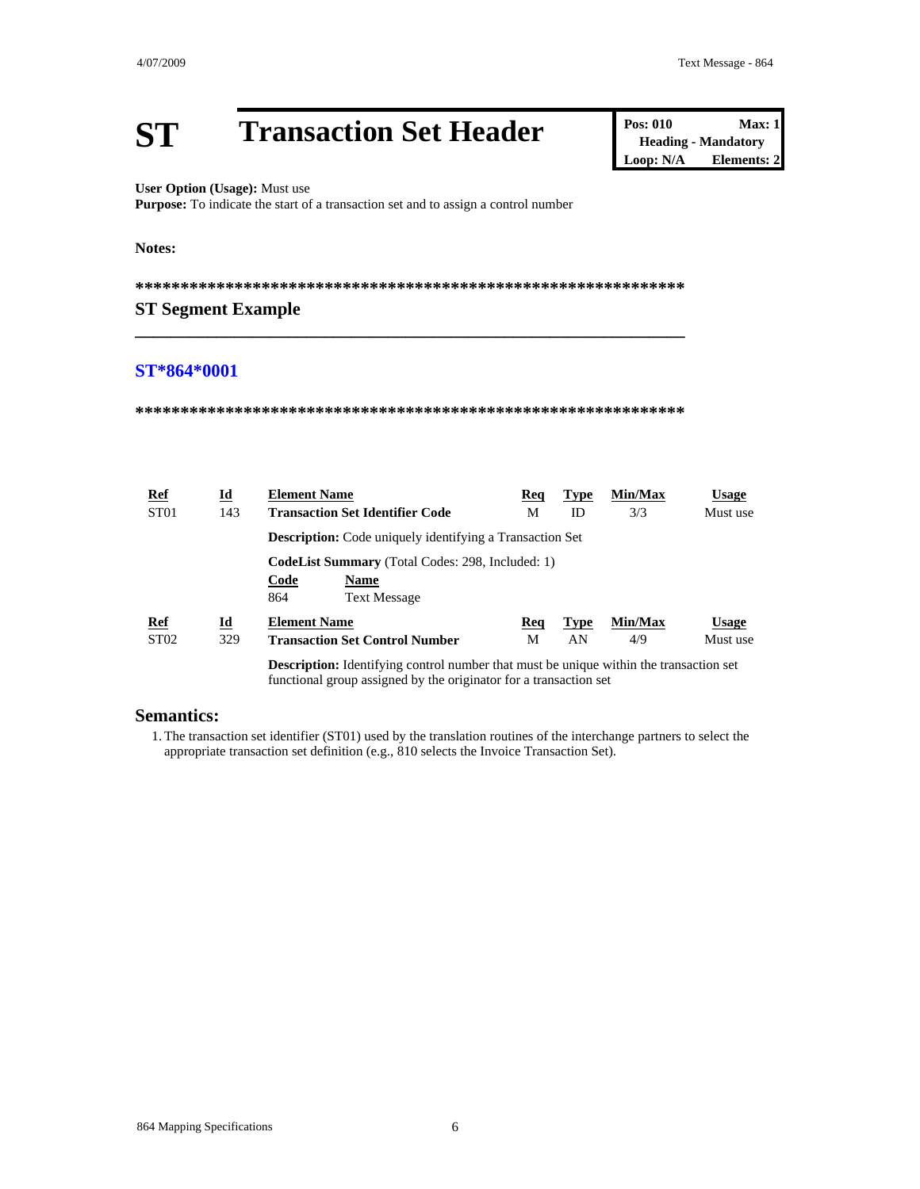#### **Transaction Set Header ST**

User Option (Usage): Must use

Purpose: To indicate the start of a transaction set and to assign a control number

#### Notes:

#### **ST Segment Example**

#### ST\*864\*0001

| <u>Ref</u>       | Id                        | <b>Element Name</b>                                                                           | Req | <b>Type</b> | Min/Max | Usage        |
|------------------|---------------------------|-----------------------------------------------------------------------------------------------|-----|-------------|---------|--------------|
| ST <sub>01</sub> | 143                       | <b>Transaction Set Identifier Code</b>                                                        | М   | ID          | 3/3     | Must use     |
|                  |                           | <b>Description:</b> Code uniquely identifying a Transaction Set                               |     |             |         |              |
|                  |                           | <b>CodeList Summary</b> (Total Codes: 298, Included: 1)                                       |     |             |         |              |
|                  |                           | Code<br>Name                                                                                  |     |             |         |              |
|                  |                           | 864<br><b>Text Message</b>                                                                    |     |             |         |              |
| $Ref$            | $\underline{\mathbf{Id}}$ | <b>Element Name</b>                                                                           | Req | <b>Type</b> | Min/Max | <b>Usage</b> |
| ST <sub>02</sub> | 329                       | <b>Transaction Set Control Number</b>                                                         | М   | AN          | 4/9     | Must use     |
|                  |                           | <b>Description:</b> Identifying control number that must be unique within the transaction set |     |             |         |              |

functional group assigned by the originator for a transaction set

#### **Semantics:**

1. The transaction set identifier (ST01) used by the translation routines of the interchange partners to select the appropriate transaction set definition (e.g., 810 selects the Invoice Transaction Set).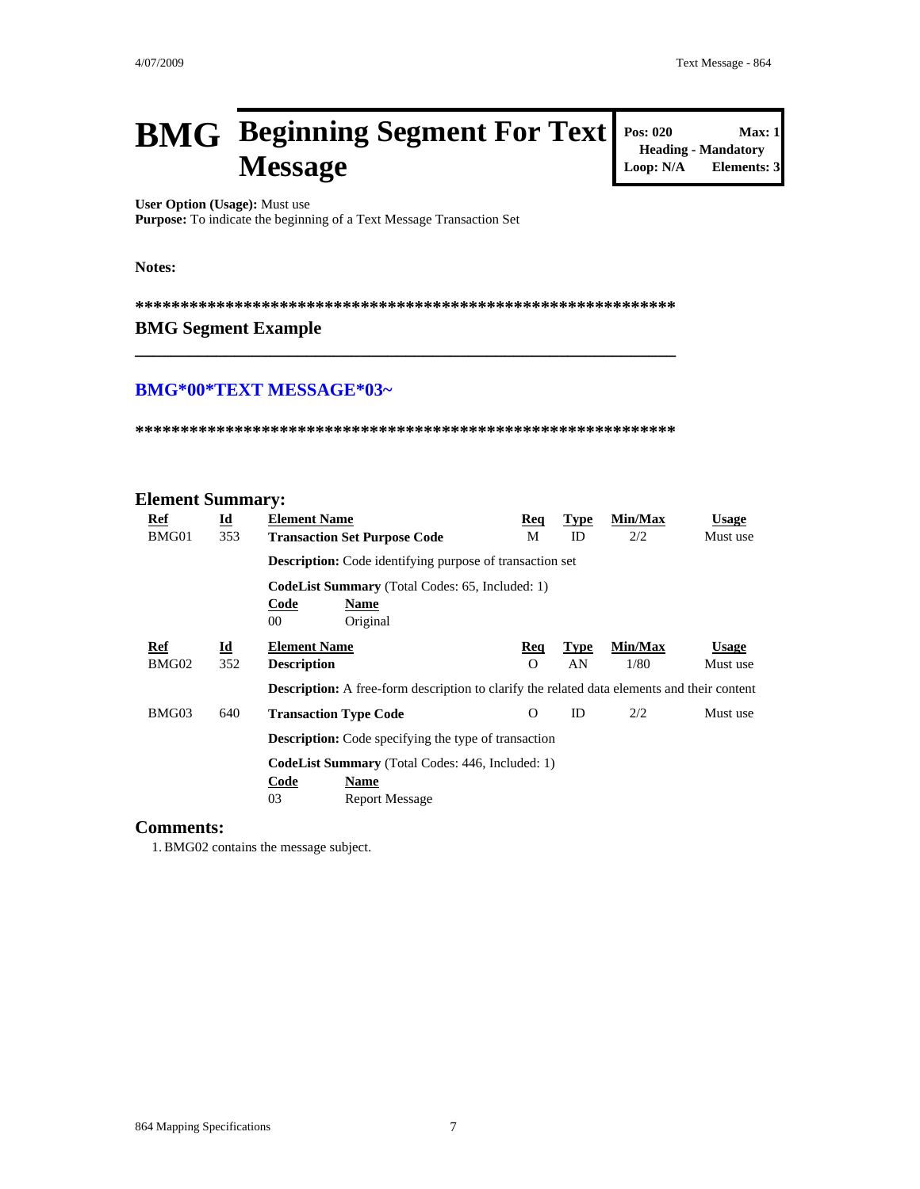**Heading - Mandatory** 

 $Max: 1$ 

**Elements: 3** 

**Pos: 020** 

Loop: N/A

### **BMG** Beginning Segment For Text **Message**

User Option (Usage): Must use

Purpose: To indicate the beginning of a Text Message Transaction Set

Notes:

#### **BMG Segment Example**

#### **BMG\*00\*TEXT MESSAGE\*03~**

#### **Element Summary:**

| Ref        | $\underline{\mathbf{Id}}$ | <b>Element Name</b>                                                                                | <b>Req</b> | <b>Type</b> | Min/Max | <b>Usage</b> |
|------------|---------------------------|----------------------------------------------------------------------------------------------------|------------|-------------|---------|--------------|
| BMG01      | 353                       | <b>Transaction Set Purpose Code</b>                                                                | М          | ID          | 2/2     | Must use     |
|            |                           | <b>Description:</b> Code identifying purpose of transaction set                                    |            |             |         |              |
|            |                           | <b>CodeList Summary</b> (Total Codes: 65, Included: 1)                                             |            |             |         |              |
|            |                           | Code<br>Name                                                                                       |            |             |         |              |
|            |                           | Original<br>00                                                                                     |            |             |         |              |
| <b>Ref</b> | $\underline{\mathbf{Id}}$ | <b>Element Name</b>                                                                                | <b>Req</b> | <b>Type</b> | Min/Max | <b>Usage</b> |
| BMG02      | 352                       | <b>Description</b>                                                                                 | O          | AN          | 1/80    | Must use     |
|            |                           | <b>Description:</b> A free-form description to clarify the related data elements and their content |            |             |         |              |
| BMG03      | 640                       | <b>Transaction Type Code</b>                                                                       | O          | ID          | 2/2     | Must use     |
|            |                           | <b>Description:</b> Code specifying the type of transaction                                        |            |             |         |              |
|            |                           | <b>CodeList Summary</b> (Total Codes: 446, Included: 1)                                            |            |             |         |              |
|            |                           | Code<br>Name                                                                                       |            |             |         |              |
|            |                           | 03<br><b>Report Message</b>                                                                        |            |             |         |              |

#### **Comments:**

1. BMG02 contains the message subject.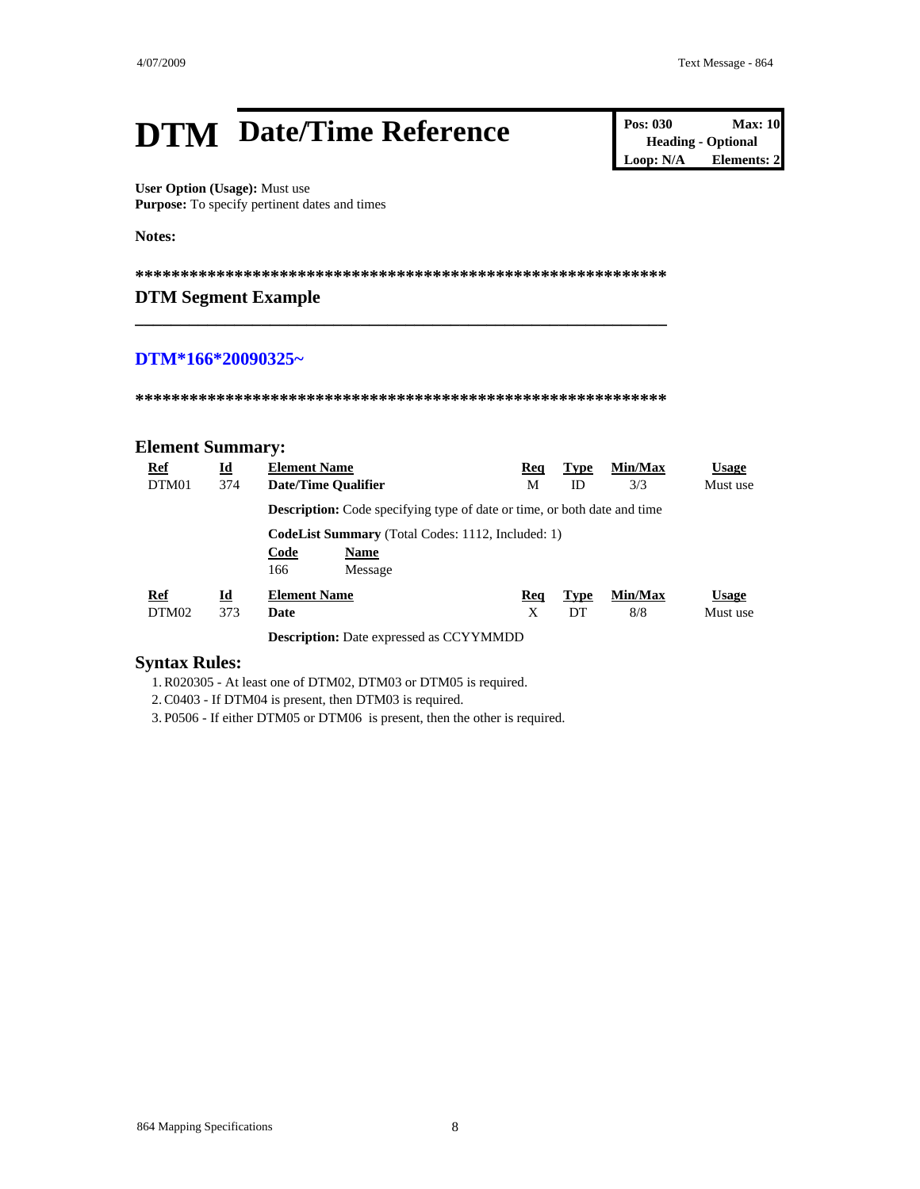## **DTM** Date/Time Reference **Pos: 030 Max: 10**<br> **Pos: 030 Max: 10**<br> **Deading** - Optional<br> **Loop: N/A Elements: 2**

**User Option (Usage):** Must use **Purpose:** To specify pertinent dates and times

**Notes:** 

**\*\*\*\*\*\*\*\*\*\*\*\*\*\*\*\*\*\*\*\*\*\*\*\*\*\*\*\*\*\*\*\*\*\*\*\*\*\*\*\*\*\*\*\*\*\*\*\*\*\*\*\*\*\*\*\*\*\*\*** 

**\_\_\_\_\_\_\_\_\_\_\_\_\_\_\_\_\_\_\_\_\_\_\_\_\_\_\_\_\_\_\_\_\_\_\_\_\_\_\_\_\_\_\_\_\_\_\_\_\_\_\_\_\_\_\_\_\_\_\_** 

#### **DTM Segment Example**

#### **DTM\*166\*20090325~**

**\*\*\*\*\*\*\*\*\*\*\*\*\*\*\*\*\*\*\*\*\*\*\*\*\*\*\*\*\*\*\*\*\*\*\*\*\*\*\*\*\*\*\*\*\*\*\*\*\*\*\*\*\*\*\*\*\*\*\*** 

#### **Element Summary:**

| Ref<br>DTM01 | $\underline{\mathbf{Id}}$<br>374 | <b>Element Name</b><br><b>Date/Time Qualifier</b>                                                 | Req<br>М | <b>Type</b><br>ID | Min/Max<br>3/3 | <b>Usage</b><br>Must use |
|--------------|----------------------------------|---------------------------------------------------------------------------------------------------|----------|-------------------|----------------|--------------------------|
|              |                                  | <b>Description:</b> Code specifying type of date or time, or both date and time                   |          |                   |                |                          |
|              |                                  | <b>CodeList Summary</b> (Total Codes: 1112, Included: 1)<br>Code<br><b>Name</b><br>166<br>Message |          |                   |                |                          |
| Ref<br>DTM02 | Id<br>373                        | <b>Element Name</b><br>Date                                                                       | Req<br>X | <b>Type</b><br>DT | Min/Max<br>8/8 | <b>Usage</b><br>Must use |
|              |                                  | <b>Description:</b> Date expressed as CCYYMMDD                                                    |          |                   |                |                          |

#### **Syntax Rules:**

1. R020305 - At least one of DTM02, DTM03 or DTM05 is required.

2. C0403 - If DTM04 is present, then DTM03 is required.

3. P0506 - If either DTM05 or DTM06 is present, then the other is required.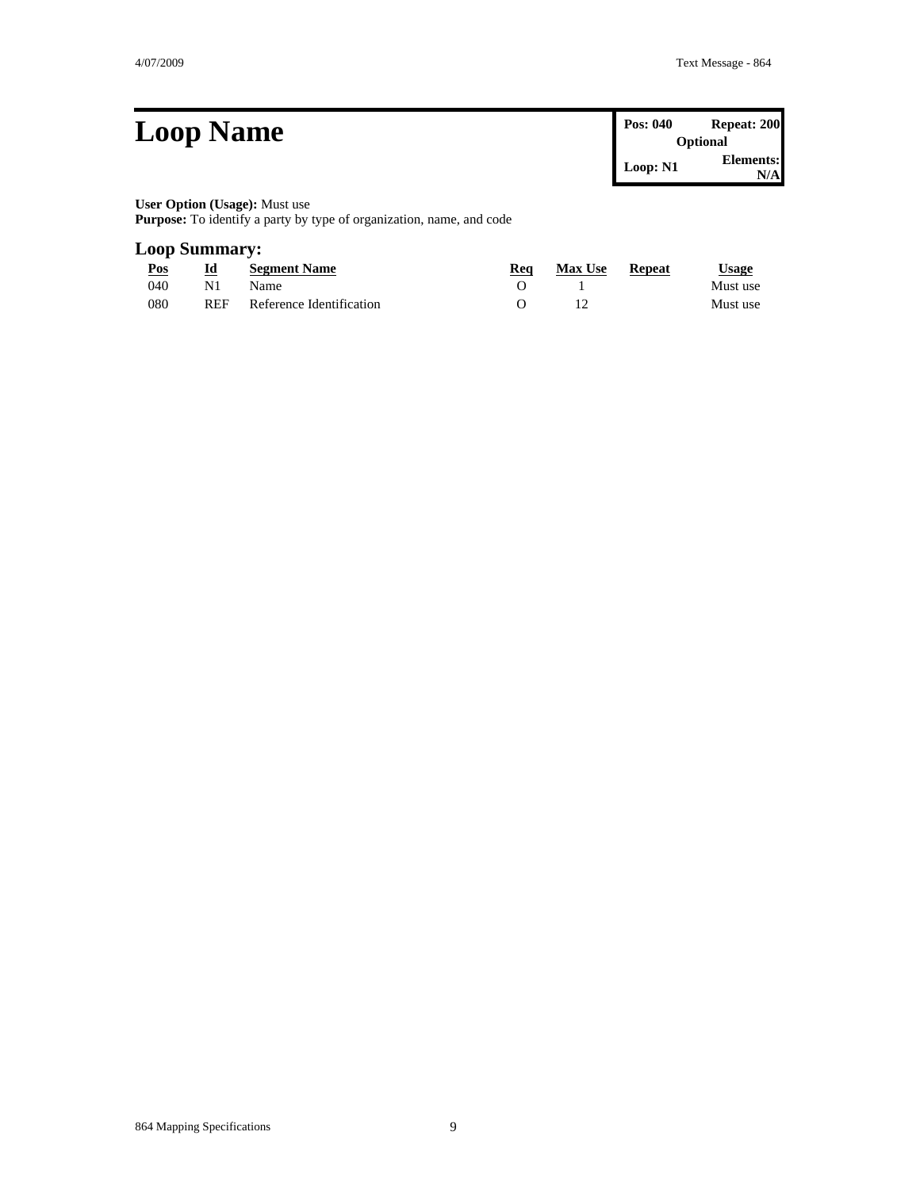| <b>Loop Name</b>                                                                                                                                                                                                                                                                            | Pos: 040<br><b>Optional</b> | Repeat: 200       |
|---------------------------------------------------------------------------------------------------------------------------------------------------------------------------------------------------------------------------------------------------------------------------------------------|-----------------------------|-------------------|
|                                                                                                                                                                                                                                                                                             | Loop: N1                    | Elements:<br>N/Al |
| <b>User Option (Usage):</b> Must use<br>$\mathbf{r}$ . The contract of the contract of the contract of the contract of the contract of the contract of the contract of the contract of the contract of the contract of the contract of the contract of the contract of th<br>$\blacksquare$ |                             |                   |

**Purpose:** To identify a party by type of organization, name, and code

#### **Loop Summary:**

| Pos | Id         | <b>Segment Name</b>      | Rea | <b>Max Use</b> | Repeat | $\cup$ sage |
|-----|------------|--------------------------|-----|----------------|--------|-------------|
| 040 | N1         | Name.                    |     |                |        | Must use    |
| 080 | <b>REF</b> | Reference Identification |     |                |        | Must use    |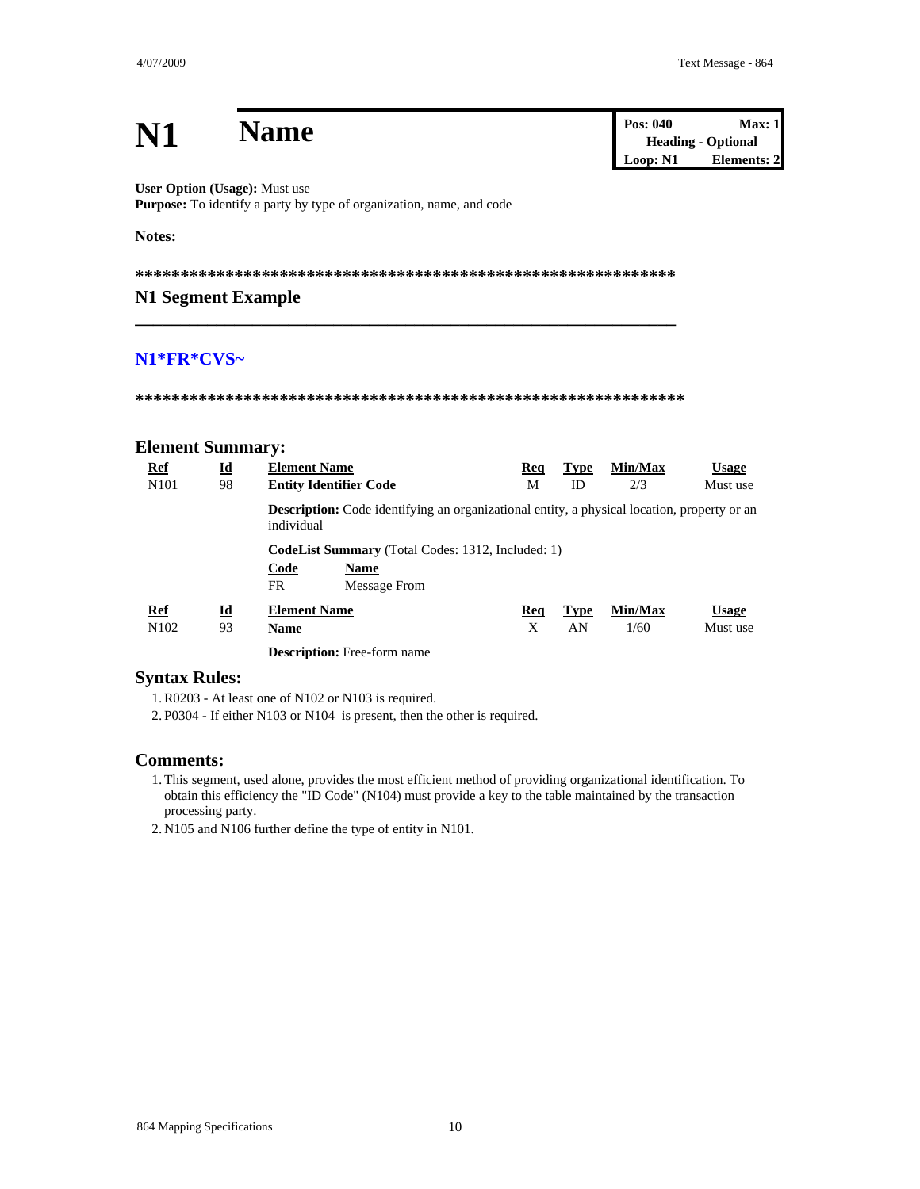| N1                                    |                                 | <b>Name</b>                                                                                                      |          |                   | Pos: 040<br>Loop: N1 | Max: 1<br><b>Heading - Optional</b><br><b>Elements: 2</b> |
|---------------------------------------|---------------------------------|------------------------------------------------------------------------------------------------------------------|----------|-------------------|----------------------|-----------------------------------------------------------|
| <b>User Option (Usage): Must use</b>  |                                 | Purpose: To identify a party by type of organization, name, and code                                             |          |                   |                      |                                                           |
| Notes:                                |                                 |                                                                                                                  |          |                   |                      |                                                           |
|                                       |                                 |                                                                                                                  |          |                   |                      |                                                           |
| N1 Segment Example                    |                                 |                                                                                                                  |          |                   |                      |                                                           |
| N1*FR*CVS~<br><b>Element Summary:</b> |                                 |                                                                                                                  |          |                   |                      |                                                           |
| <b>Ref</b><br>N <sub>10</sub> 1       | Id<br>98                        | <b>Element Name</b><br><b>Entity Identifier Code</b>                                                             | Req<br>M | <b>Type</b><br>ID | Min/Max<br>2/3       | <b>Usage</b><br>Must use                                  |
|                                       |                                 | <b>Description:</b> Code identifying an organizational entity, a physical location, property or an<br>individual |          |                   |                      |                                                           |
|                                       |                                 | <b>CodeList Summary</b> (Total Codes: 1312, Included: 1)<br>Code<br><b>Name</b><br>FR.<br><b>Message From</b>    |          |                   |                      |                                                           |
| Ref                                   | $\underline{\mathbf{Id}}$<br>93 | <b>Element Name</b>                                                                                              | Req<br>X | <b>Type</b><br>AN | Min/Max              | <b>Usage</b>                                              |
| N102                                  |                                 | <b>Name</b><br>$\cdots$                                                                                          |          |                   | 1/60                 | Must use                                                  |

Description: Free-form name

#### **Syntax Rules:**

1. R0203 - At least one of N102 or N103 is required.

2. P0304 - If either N103 or N104 is present, then the other is required.

#### **Comments:**

1. This segment, used alone, provides the most efficient method of providing organizational identification. To obtain this efficiency the "ID Code" (N104) must provide a key to the table maintained by the transaction processing party.

2. N105 and N106 further define the type of entity in N101.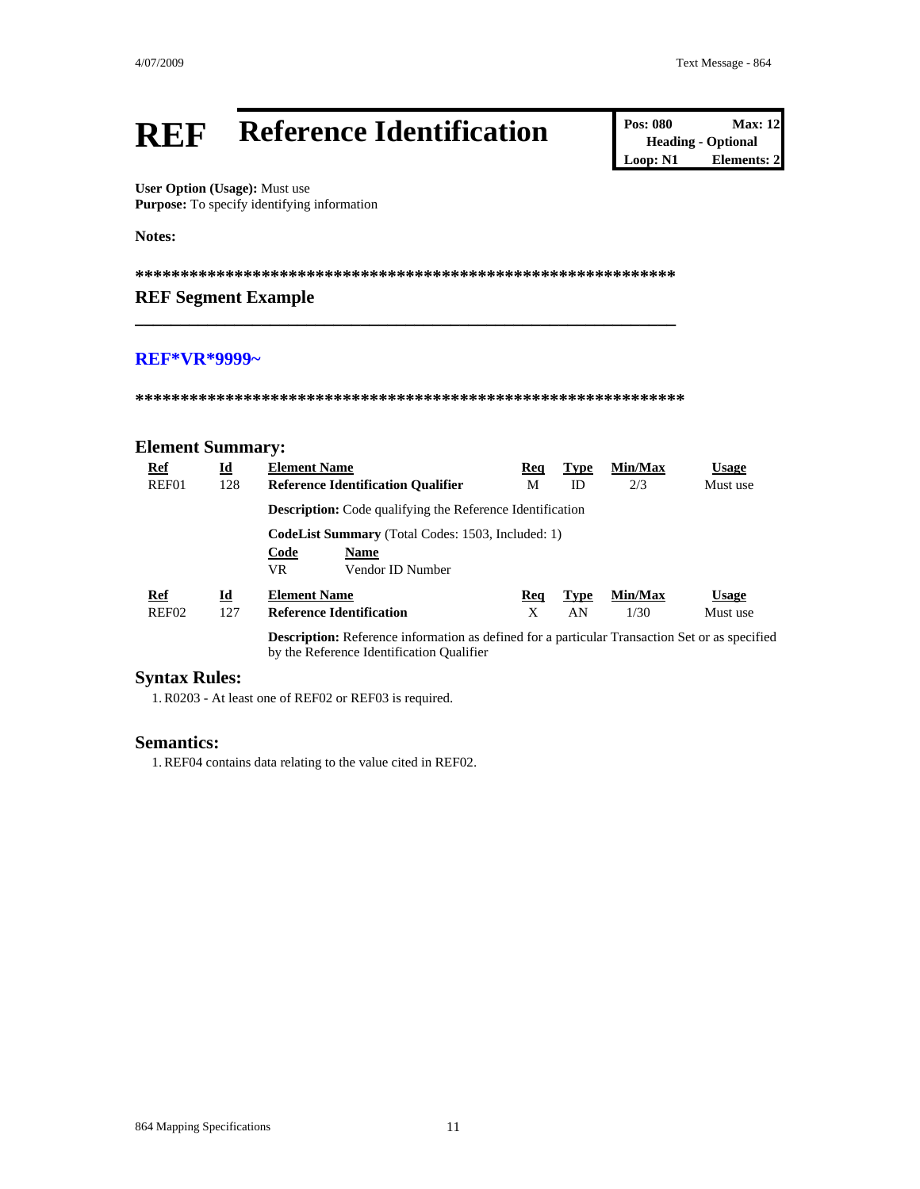#### **Reference Identification REF**

**Pos: 080 Max: 12 Heading - Optional**  $Loop: N1$ Elements: 2

User Option (Usage): Must use Purpose: To specify identifying information

Notes:

#### **REF Segment Example**

#### **REF\*VR\*9999~**

#### **Element Summary:**

| Ref        | $\underline{\mathbf{Id}}$ | <b>Element Name</b>                                                                                                                                | Req | Type        | Min/Max | <b>Usage</b> |
|------------|---------------------------|----------------------------------------------------------------------------------------------------------------------------------------------------|-----|-------------|---------|--------------|
| REF01      | 128                       | <b>Reference Identification Qualifier</b>                                                                                                          | М   | ID          | 2/3     | Must use     |
|            |                           | <b>Description:</b> Code qualifying the Reference Identification                                                                                   |     |             |         |              |
|            |                           | <b>CodeList Summary</b> (Total Codes: 1503, Included: 1)                                                                                           |     |             |         |              |
|            |                           | Code<br><b>Name</b>                                                                                                                                |     |             |         |              |
|            |                           | VR.<br>Vendor ID Number                                                                                                                            |     |             |         |              |
| <b>Ref</b> | Id                        | <b>Element Name</b>                                                                                                                                | Req | <b>Type</b> | Min/Max | <b>Usage</b> |
| REF02      | 127                       | <b>Reference Identification</b>                                                                                                                    | X   | AN          | 1/30    | Must use     |
|            |                           | <b>Description:</b> Reference information as defined for a particular Transaction Set or as specified<br>by the Reference Identification Qualifier |     |             |         |              |

#### **Syntax Rules:**

1. R0203 - At least one of REF02 or REF03 is required.

#### **Semantics:**

1. REF04 contains data relating to the value cited in REF02.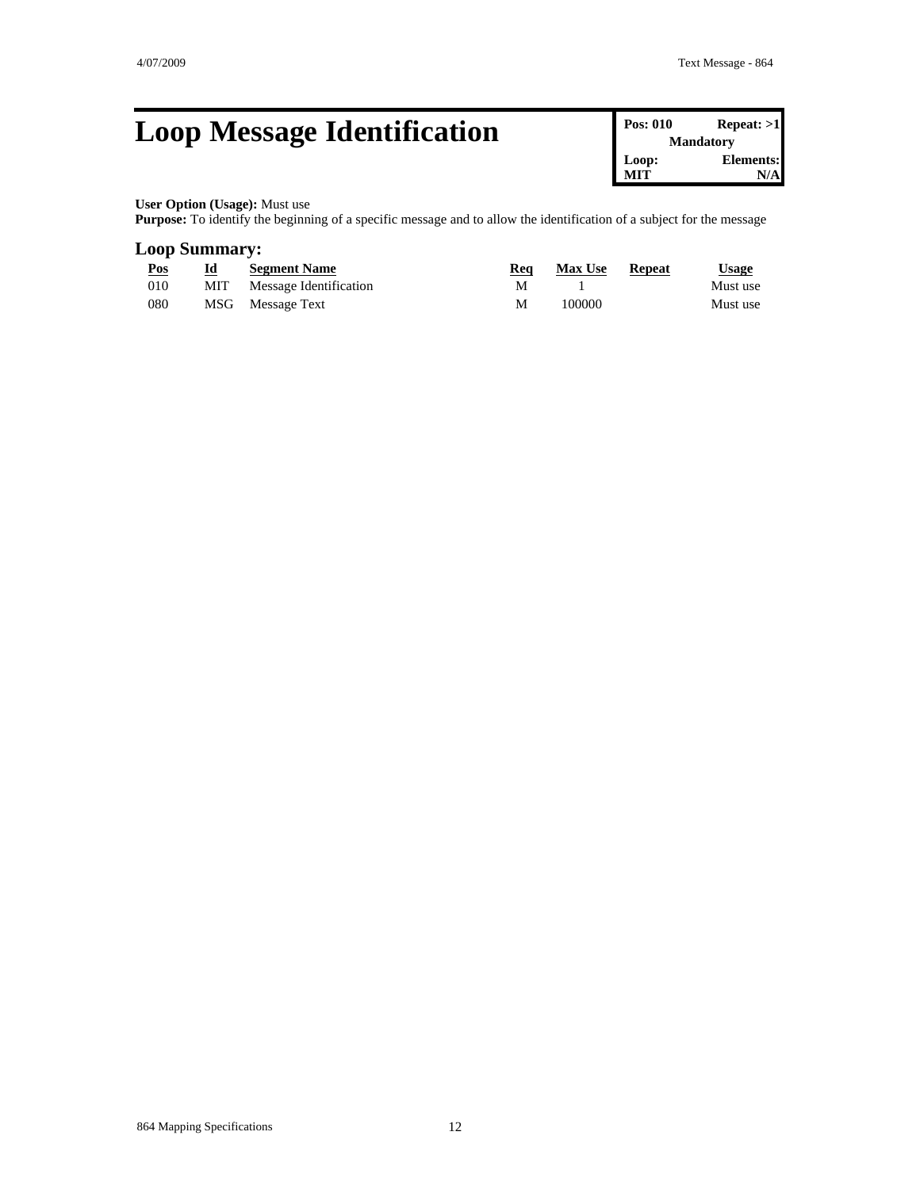### **Loop Message Identification**

| Pos: 010 | Repeat: >1       |
|----------|------------------|
|          | <b>Mandatory</b> |
| Loop:    | Elements:        |
| MIT      | N/A              |

#### **User Option (Usage):** Must use

**Purpose:** To identify the beginning of a specific message and to allow the identification of a subject for the message

#### **Loop Summary:**

| Pos  | Id  | <b>Segment Name</b>    | Req | <b>Max Use</b> | <b>Repeat</b> | <u>Usage</u> |
|------|-----|------------------------|-----|----------------|---------------|--------------|
| -010 | MIT | Message Identification | м   |                |               | Must use     |
| 080  |     | MSG Message Text       | М   | 100000         |               | Must use     |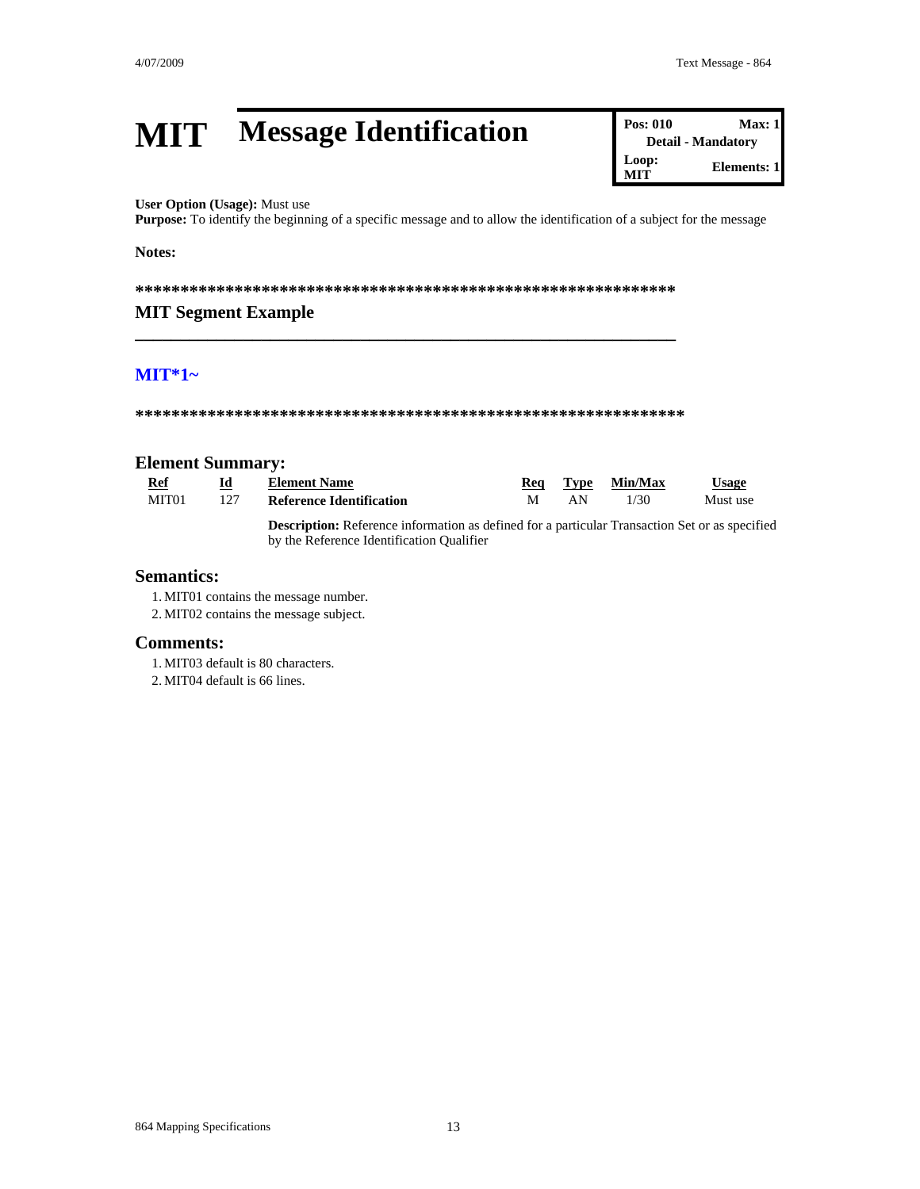**Detail - Mandatory** 

 $Max: 1$ 

**Elements: 1** 

**Pos: 010** 

Loop:

**MIT** 

#### **Message Identification MIT**

#### User Option (Usage): Must use

Purpose: To identify the beginning of a specific message and to allow the identification of a subject for the message

#### Notes:

#### **MIT Segment Example**

#### $MT*1-$

#### **Element Summary:**

| Ref   |     | <b>Element Name</b>                                                                                  | Rea |    | Tvpe Min/Max | Usage    |
|-------|-----|------------------------------------------------------------------------------------------------------|-----|----|--------------|----------|
| MIT01 | 127 | Reference Identification                                                                             |     | AN | 1/30         | Must use |
|       |     | <b>Description:</b> Petersnes information as defined for a perticular Transaction Set or as specifie |     |    |              |          |

**Description:** Reference information as defined for a particular Transaction Set or as specified by the Reference Identification Qualifier

#### **Semantics:**

1. MIT01 contains the message number.

2. MIT02 contains the message subject.

#### **Comments:**

1. MIT03 default is 80 characters.

2. MIT04 default is 66 lines.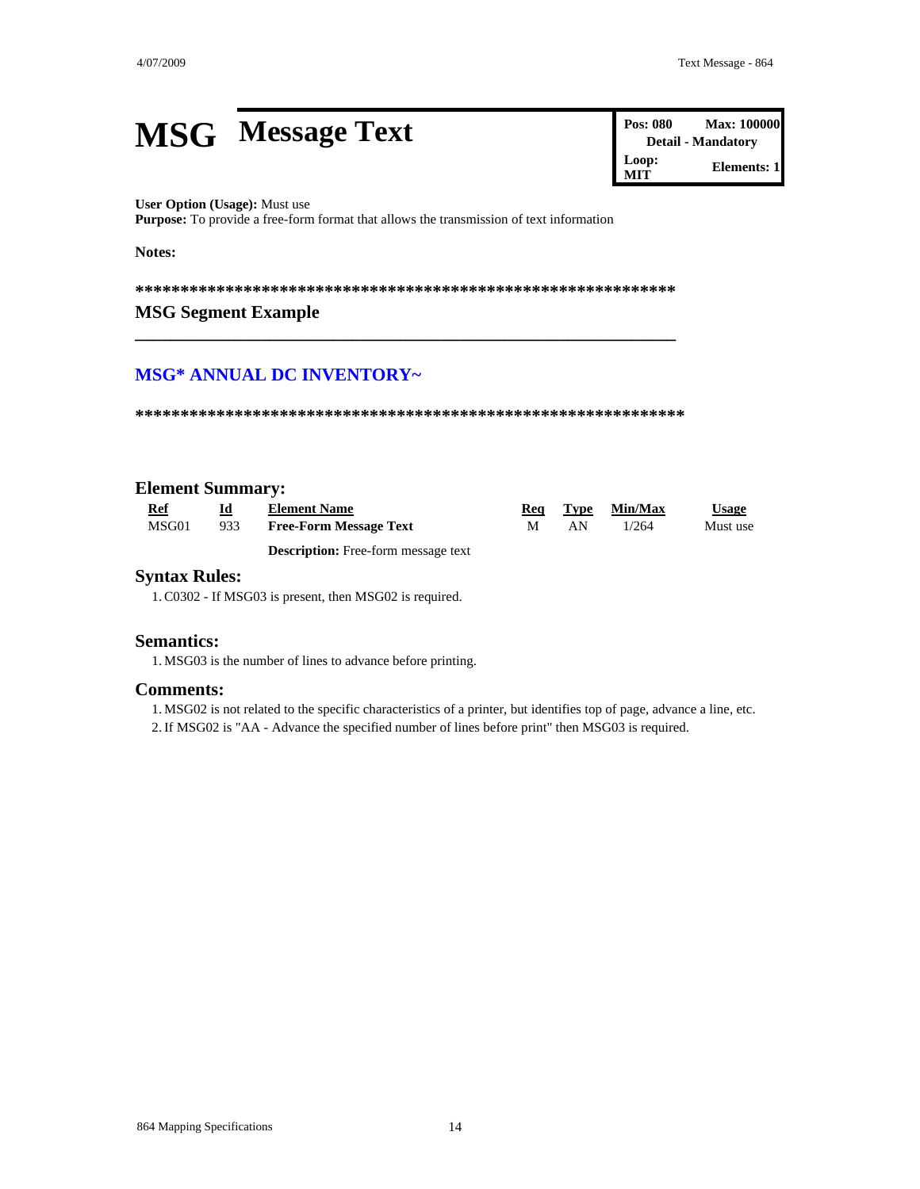### **MSG** Message Text

Pos: 080 **Max: 100000 Detail - Mandatory** Loop: **Elements: 1 MIT** 

#### User Option (Usage): Must use

Purpose: To provide a free-form format that allows the transmission of text information

Notes:

#### **MSG Segment Example**

#### **MSG\* ANNUAL DC INVENTORY~**

#### **Element Summary:**

| Ref   | Id  | <b>Element Name</b>                 | Rea |     | Type Min/Max | Usage    |
|-------|-----|-------------------------------------|-----|-----|--------------|----------|
| MSG01 | 933 | <b>Free-Form Message Text</b>       |     | AN. | 1/264        | Must use |
|       |     | Decerintion: Free form message text |     |     |              |          |

**Description:** Free-form message text

#### **Syntax Rules:**

1. C0302 - If MSG03 is present, then MSG02 is required.

#### **Semantics:**

1. MSG03 is the number of lines to advance before printing.

#### **Comments:**

1. MSG02 is not related to the specific characteristics of a printer, but identifies top of page, advance a line, etc.

2. If MSG02 is "AA - Advance the specified number of lines before print" then MSG03 is required.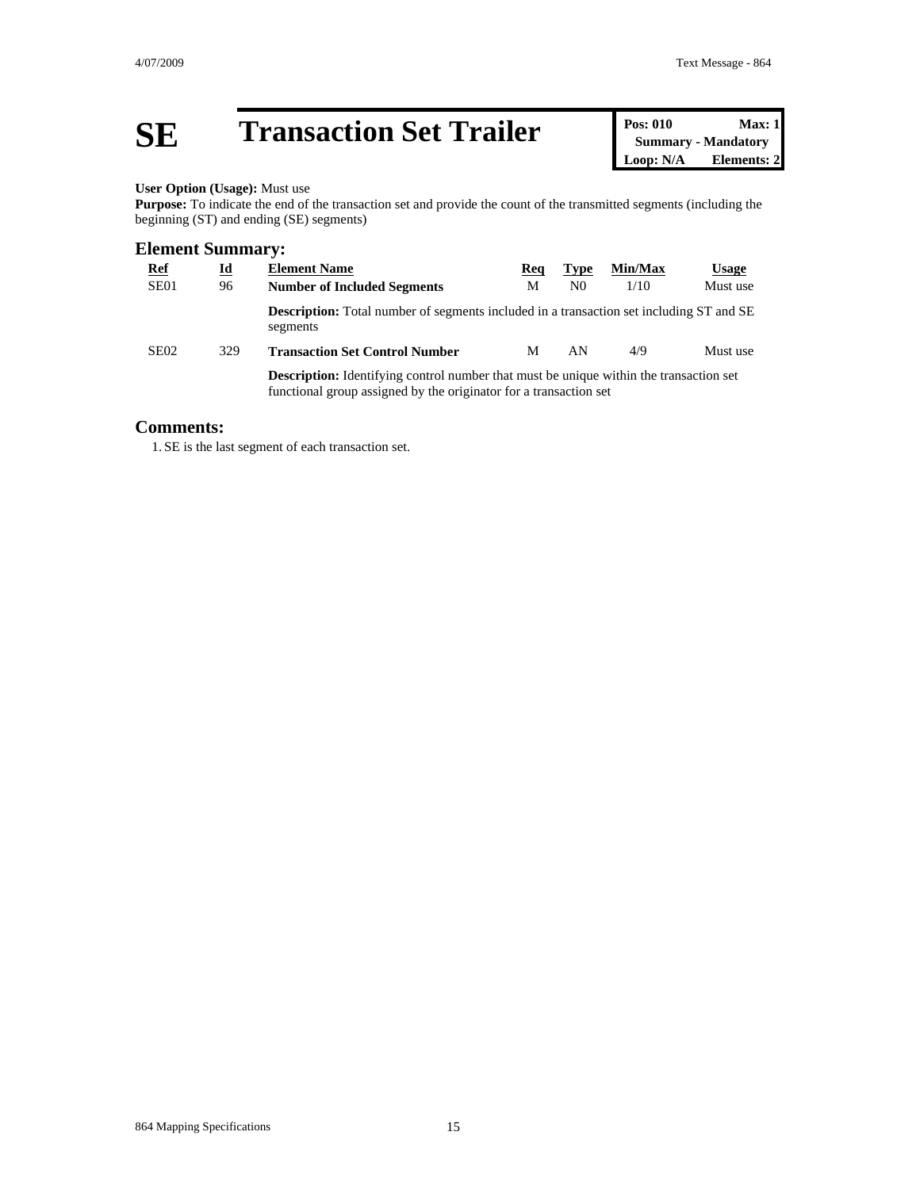## **SE Transaction Set Trailer Pos: 010 Max: 1**<br> **Pos: 010 Max: 1**<br> **Summary** - Mandatory<br> **Loop: N/A Elements: 2**

### **Summary - Mandatory Elements: 2**

#### **User Option (Usage):** Must use

**Purpose:** To indicate the end of the transaction set and provide the count of the transmitted segments (including the beginning (ST) and ending (SE) segments)

#### **Element Summary:**

| <b>Ref</b>                                                                                    | <u>Id</u> | <b>Element Name</b>                                                                                        | Req | <b>Type</b>    | Min/Max | <b>Usage</b> |
|-----------------------------------------------------------------------------------------------|-----------|------------------------------------------------------------------------------------------------------------|-----|----------------|---------|--------------|
| SE <sub>01</sub>                                                                              | 96        | <b>Number of Included Segments</b>                                                                         | M   | N <sub>0</sub> | 1/10    | Must use     |
|                                                                                               |           | <b>Description:</b> Total number of segments included in a transaction set including ST and SE<br>segments |     |                |         |              |
| SE <sub>02</sub>                                                                              | 329       | <b>Transaction Set Control Number</b>                                                                      | М   | AN             | 4/9     | Must use     |
| <b>Description:</b> Identifying control number that must be unique within the transaction set |           |                                                                                                            |     |                |         |              |

functional group assigned by the originator for a transaction set

#### **Comments:**

1. SE is the last segment of each transaction set.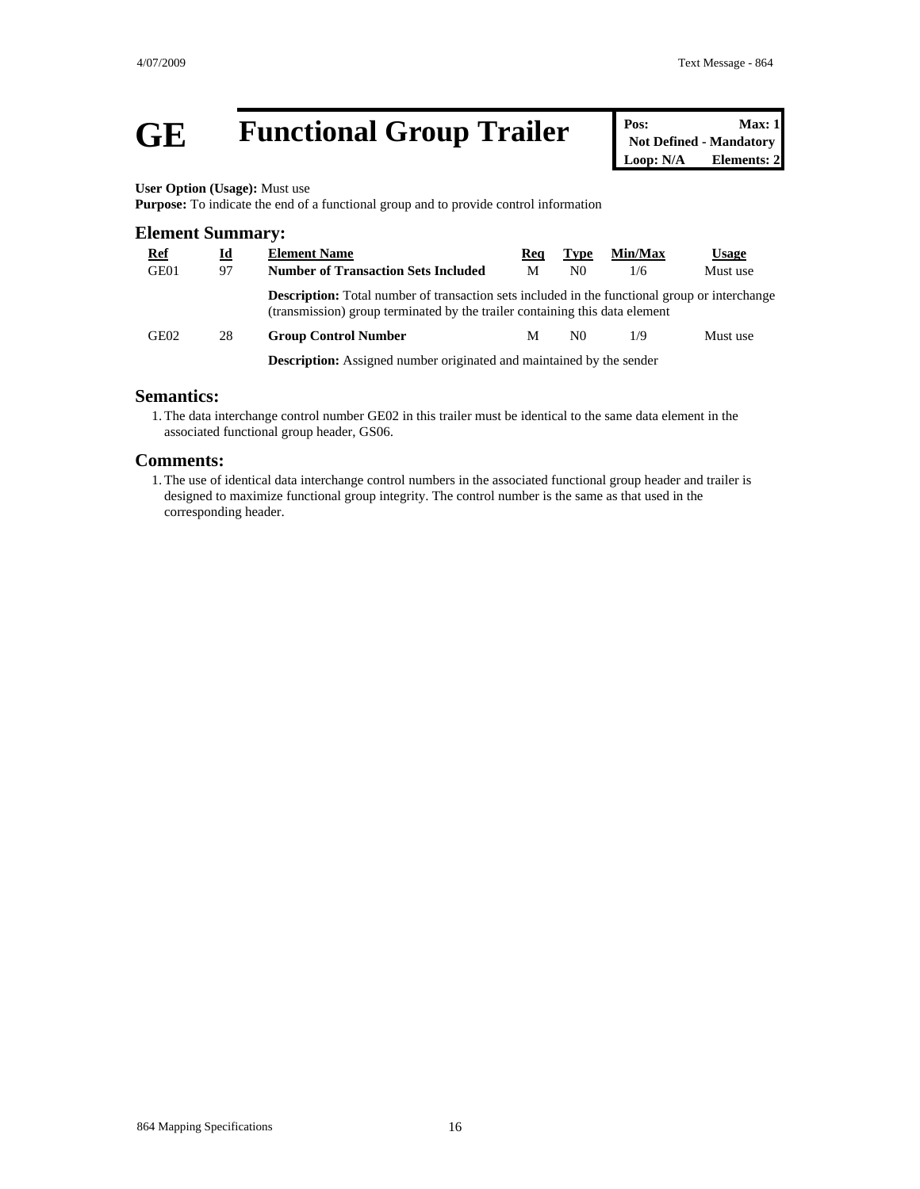## **GE Functional Group Trailer Pos:** Max: 1<br>Not Defined - Mandatory<br>Loop: N/A **Elements: 2**

**Not Defined - Mandatory Elements: 2** 

**User Option (Usage):** Must use

**Purpose:** To indicate the end of a functional group and to provide control information

| <b>Element Summary:</b> |           |                                                                                                                                                                                     |     |                |         |              |  |  |
|-------------------------|-----------|-------------------------------------------------------------------------------------------------------------------------------------------------------------------------------------|-----|----------------|---------|--------------|--|--|
| <u>Ref</u>              | <u>id</u> | <b>Element Name</b>                                                                                                                                                                 | Reg | <b>Type</b>    | Min/Max | <b>Usage</b> |  |  |
| GE01                    | 97        | <b>Number of Transaction Sets Included</b>                                                                                                                                          | М   | N <sub>0</sub> | 1/6     | Must use     |  |  |
|                         |           | <b>Description:</b> Total number of transaction sets included in the functional group or interchange<br>(transmission) group terminated by the trailer containing this data element |     |                |         |              |  |  |
| GE02                    | 28        | <b>Group Control Number</b>                                                                                                                                                         | М   | N0             | 1/9     | Must use     |  |  |
|                         |           | <b>Description:</b> Assigned number originated and maintained by the sender                                                                                                         |     |                |         |              |  |  |

#### **Semantics:**

1. The data interchange control number GE02 in this trailer must be identical to the same data element in the associated functional group header, GS06.

#### **Comments:**

1. The use of identical data interchange control numbers in the associated functional group header and trailer is designed to maximize functional group integrity. The control number is the same as that used in the corresponding header.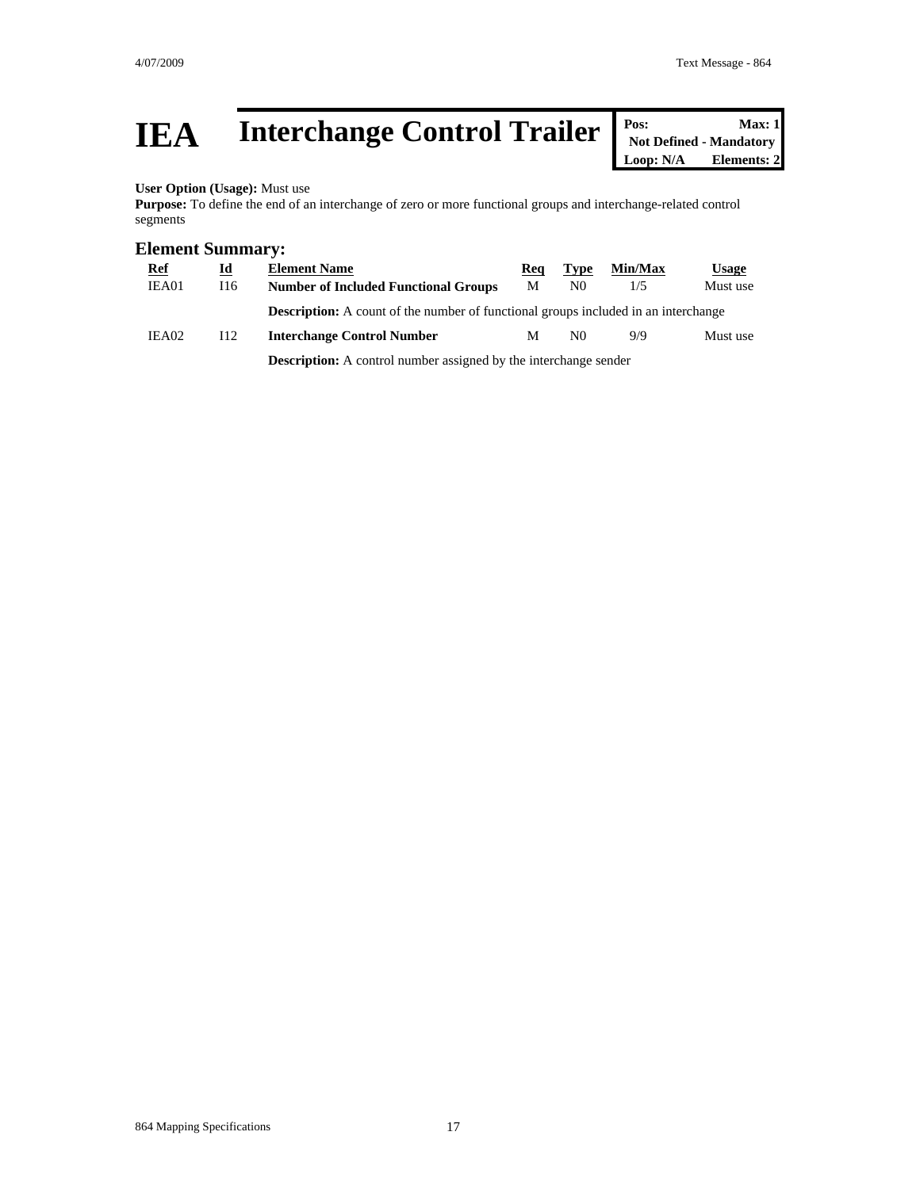## **IEA** Interchange Control Trailer **Pos:** Max: 1<br>
Max: 1<br>
Loop: N/A Elements: 2

**Not Defined - Mandatory Elements: 2** 

#### **User Option (Usage):** Must use

**Purpose:** To define the end of an interchange of zero or more functional groups and interchange-related control segments

#### **Element Summary:**

| <b>Ref</b> | $\underline{\mathbf{Id}}$ | <b>Element Name</b>                                                                       | Req | Type | Min/Max | <b>Usage</b> |
|------------|---------------------------|-------------------------------------------------------------------------------------------|-----|------|---------|--------------|
| IEA01      | 116                       | <b>Number of Included Functional Groups</b>                                               | М   | N0   | 1/5     | Must use     |
|            |                           | <b>Description:</b> A count of the number of functional groups included in an interchange |     |      |         |              |
| IEA02      | I <sub>12</sub>           | <b>Interchange Control Number</b>                                                         | М   | N0   | 9/9     | Must use     |
|            |                           |                                                                                           |     |      |         |              |

**Description:** A control number assigned by the interchange sender